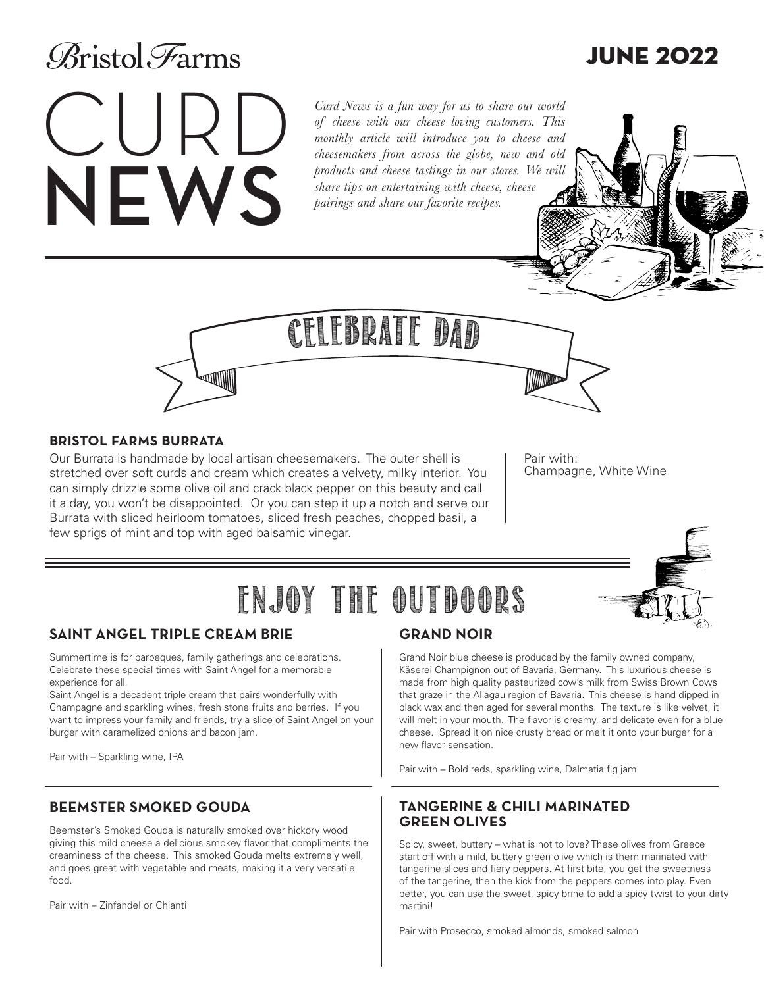## **Aristol** Farms

# CURD NEWS

*Curd News is a fun way for us to share our world of cheese with our cheese loving customers. This monthly article will introduce you to cheese and cheesemakers from across the globe, new and old products and cheese tastings in our stores. We will share tips on entertaining with cheese, cheese pairings and share our favorite recipes.* 

### **BRISTOL FARMS BURRATA**

Our Burrata is handmade by local artisan cheesemakers. The outer shell is stretched over soft curds and cream which creates a velvety, milky interior. You can simply drizzle some olive oil and crack black pepper on this beauty and call it a day, you won't be disappointed. Or you can step it up a notch and serve our Burrata with sliced heirloom tomatoes, sliced fresh peaches, chopped basil, a few sprigs of mint and top with aged balsamic vinegar.

Pair with: Champagne, White Wine

## Enjoy the outdoors

CELEBRATE DAD

## **SAINT ANGEL TRIPLE CREAM BRIE**

Summertime is for barbeques, family gatherings and celebrations. Celebrate these special times with Saint Angel for a memorable experience for all.

Saint Angel is a decadent triple cream that pairs wonderfully with Champagne and sparkling wines, fresh stone fruits and berries. If you want to impress your family and friends, try a slice of Saint Angel on your burger with caramelized onions and bacon jam.

W

Pair with – Sparkling wine, IPA

#### **BEEMSTER SMOKED GOUDA**

Beemster's Smoked Gouda is naturally smoked over hickory wood giving this mild cheese a delicious smokey flavor that compliments the creaminess of the cheese. This smoked Gouda melts extremely well, and goes great with vegetable and meats, making it a very versatile food.

Pair with – Zinfandel or Chianti

## **GRAND NOIR**

Grand Noir blue cheese is produced by the family owned company, Käserei Champignon out of Bavaria, Germany. This luxurious cheese is made from high quality pasteurized cow's milk from Swiss Brown Cows that graze in the Allagau region of Bavaria. This cheese is hand dipped in black wax and then aged for several months. The texture is like velvet, it will melt in your mouth. The flavor is creamy, and delicate even for a blue cheese. Spread it on nice crusty bread or melt it onto your burger for a new flavor sensation.

Pair with – Bold reds, sparkling wine, Dalmatia fig jam

#### **TANGERINE & CHILI MARINATED GREEN OLIVES**

Spicy, sweet, buttery – what is not to love? These olives from Greece start off with a mild, buttery green olive which is them marinated with tangerine slices and fiery peppers. At first bite, you get the sweetness of the tangerine, then the kick from the peppers comes into play. Even better, you can use the sweet, spicy brine to add a spicy twist to your dirty martini!

Pair with Prosecco, smoked almonds, smoked salmon



## JUNE 2022